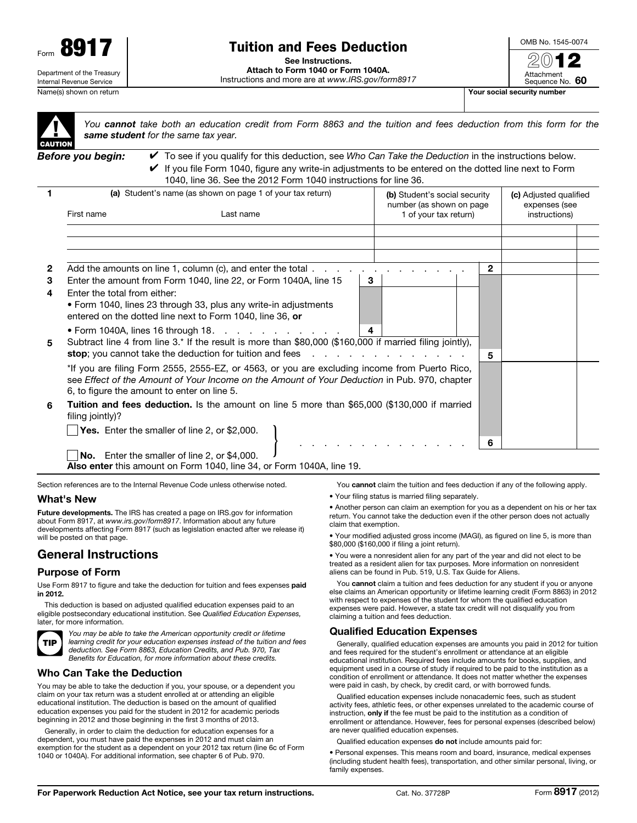

# Tuition and Fees Deduction

See Instructions.

Attach to Form 1040 or Form 1040A. Instructions and more are at *www.IRS.gov/form8917* OMB No. 1545-0074  $20$ 

Attachment

Sequence No. 60

| CAUTIOI |
|---------|
|         |

*You cannot take both an education credit from Form 8863 and the tuition and fees deduction from this form for the same student for the same tax year.*

*Before you begin:* ✔ To see if you qualify for this deduction, see *Who Can Take the Deduction* in the instructions below.  $\blacktriangleright$  If you file Form 1040, figure any write-in adjustments to be entered on the dotted line next to Form 1040, line 36. See the 2012 Form 1040 instructions for line 36.

|   | (a) Student's name (as shown on page 1 of your tax return)                                                                                                                                                                                                                                                                |                                                                                                          |   | (b) Student's social security<br>number (as shown on page |  | (c) Adjusted qualified<br>expenses (see |  |  |
|---|---------------------------------------------------------------------------------------------------------------------------------------------------------------------------------------------------------------------------------------------------------------------------------------------------------------------------|----------------------------------------------------------------------------------------------------------|---|-----------------------------------------------------------|--|-----------------------------------------|--|--|
|   | First name<br>Last name<br>1 of your tax return)                                                                                                                                                                                                                                                                          |                                                                                                          |   |                                                           |  | instructions)                           |  |  |
|   |                                                                                                                                                                                                                                                                                                                           |                                                                                                          |   |                                                           |  |                                         |  |  |
|   |                                                                                                                                                                                                                                                                                                                           |                                                                                                          |   |                                                           |  |                                         |  |  |
| 2 |                                                                                                                                                                                                                                                                                                                           | Add the amounts on line 1, column (c), and enter the total $\ldots$                                      |   |                                                           |  | $\mathbf{2}$                            |  |  |
| 3 |                                                                                                                                                                                                                                                                                                                           | Enter the amount from Form 1040, line 22, or Form 1040A, line 15                                         | 3 |                                                           |  |                                         |  |  |
| 4 | Enter the total from either:                                                                                                                                                                                                                                                                                              |                                                                                                          |   |                                                           |  |                                         |  |  |
|   |                                                                                                                                                                                                                                                                                                                           | • Form 1040, lines 23 through 33, plus any write-in adjustments                                          |   |                                                           |  |                                         |  |  |
|   |                                                                                                                                                                                                                                                                                                                           | entered on the dotted line next to Form 1040, line 36, or                                                |   |                                                           |  |                                         |  |  |
|   |                                                                                                                                                                                                                                                                                                                           | • Form 1040A, lines 16 through 18. $\ldots$ , $\ldots$ , $\ldots$ , $\ldots$                             | 4 |                                                           |  |                                         |  |  |
| 5 |                                                                                                                                                                                                                                                                                                                           | Subtract line 4 from line 3.* If the result is more than \$80,000 (\$160,000 if married filing jointly), |   |                                                           |  |                                         |  |  |
|   | <b>stop</b> ; you cannot take the deduction for tuition and fees $\ldots$<br>*If you are filing Form 2555, 2555-EZ, or 4563, or you are excluding income from Puerto Rico,<br>see Effect of the Amount of Your Income on the Amount of Your Deduction in Pub. 970, chapter<br>6, to figure the amount to enter on line 5. |                                                                                                          |   |                                                           |  | 5                                       |  |  |
|   |                                                                                                                                                                                                                                                                                                                           |                                                                                                          |   |                                                           |  |                                         |  |  |
|   |                                                                                                                                                                                                                                                                                                                           |                                                                                                          |   |                                                           |  |                                         |  |  |
| 6 |                                                                                                                                                                                                                                                                                                                           | Tuition and fees deduction. Is the amount on line 5 more than \$65,000 (\$130,000 if married             |   |                                                           |  |                                         |  |  |
|   | filing jointly)?                                                                                                                                                                                                                                                                                                          |                                                                                                          |   |                                                           |  |                                         |  |  |
|   |                                                                                                                                                                                                                                                                                                                           | Yes. Enter the smaller of line 2, or \$2,000.                                                            |   |                                                           |  |                                         |  |  |
|   |                                                                                                                                                                                                                                                                                                                           |                                                                                                          |   |                                                           |  | 6                                       |  |  |
|   |                                                                                                                                                                                                                                                                                                                           | <b>No.</b> Enter the smaller of line 2, or \$4,000.                                                      |   |                                                           |  |                                         |  |  |

Also enter this amount on Form 1040, line 34, or Form 1040A, line 19.

Section references are to the Internal Revenue Code unless otherwise noted.

## What's New

Future developments. The IRS has created a page on IRS.gov for information about Form 8917, at *www.irs.gov/form8917*. Information about any future developments affecting Form 8917 (such as legislation enacted after we release it) will be posted on that page.

# General Instructions

## Purpose of Form

Use Form 8917 to figure and take the deduction for tuition and fees expenses paid in 2012.

This deduction is based on adjusted qualified education expenses paid to an eligible postsecondary educational institution. See *Qualified Education Expenses,*  later, for more information.



*You may be able to take the American opportunity credit or lifetime learning credit for your education expenses instead of the tuition and fees deduction. See Form 8863, Education Credits, and Pub. 970, Tax Benefits for Education, for more information about these credits.*

## Who Can Take the Deduction

You may be able to take the deduction if you, your spouse, or a dependent you claim on your tax return was a student enrolled at or attending an eligible educational institution. The deduction is based on the amount of qualified education expenses you paid for the student in 2012 for academic periods beginning in 2012 and those beginning in the first 3 months of 2013.

Generally, in order to claim the deduction for education expenses for a dependent, you must have paid the expenses in 2012 and must claim an exemption for the student as a dependent on your 2012 tax return (line 6c of Form 1040 or 1040A). For additional information, see chapter 6 of Pub. 970.

You cannot claim the tuition and fees deduction if any of the following apply.

• Your filing status is married filing separately.

• Another person can claim an exemption for you as a dependent on his or her tax return. You cannot take the deduction even if the other person does not actually claim that exemption.

• Your modified adjusted gross income (MAGI), as figured on line 5, is more than \$80,000 (\$160,000 if filing a joint return).

• You were a nonresident alien for any part of the year and did not elect to be treated as a resident alien for tax purposes. More information on nonresident aliens can be found in Pub. 519, U.S. Tax Guide for Aliens.

You cannot claim a tuition and fees deduction for any student if you or anyone else claims an American opportunity or lifetime learning credit (Form 8863) in 2012 with respect to expenses of the student for whom the qualified education expenses were paid. However, a state tax credit will not disqualify you from claiming a tuition and fees deduction.

#### Qualified Education Expenses

Generally, qualified education expenses are amounts you paid in 2012 for tuition and fees required for the student's enrollment or attendance at an eligible educational institution. Required fees include amounts for books, supplies, and equipment used in a course of study if required to be paid to the institution as a condition of enrollment or attendance. It does not matter whether the expenses were paid in cash, by check, by credit card, or with borrowed funds.

Qualified education expenses include nonacademic fees, such as student activity fees, athletic fees, or other expenses unrelated to the academic course of instruction, only if the fee must be paid to the institution as a condition of enrollment or attendance. However, fees for personal expenses (described below) are never qualified education expenses.

Qualified education expenses do not include amounts paid for:

• Personal expenses. This means room and board, insurance, medical expenses (including student health fees), transportation, and other similar personal, living, or family expenses.